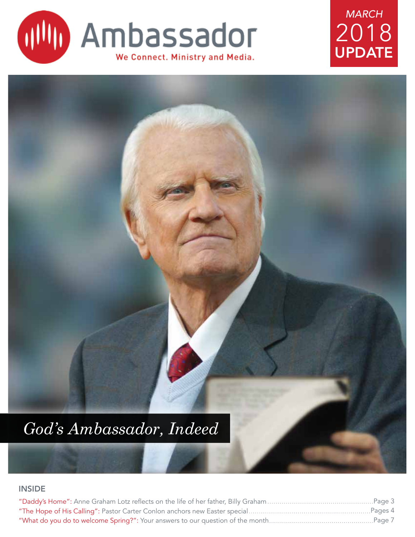

# UPDATE *MARCH* 2018



#### INSIDE

| ….Pages 4 |
|-----------|
| ….Page 7  |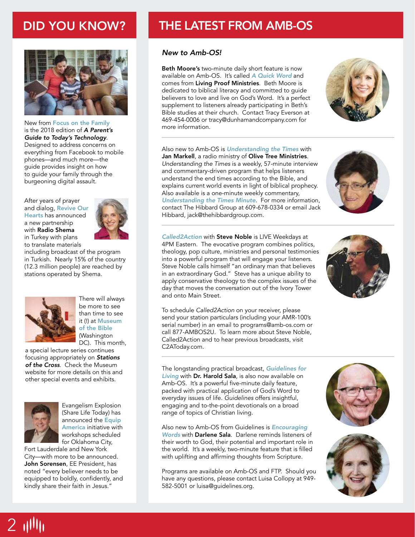

New from Focus on the Family is the 2018 edition of *A Parent's Guide to Today's Technology*. Designed to address concerns on everything from Facebook to mobile phones—and much more—the guide provides insight on how to guide your family through the burgeoning digital assault.

After years of prayer and dialog, Revive Our Hearts has announced a new partnership with Radio Shema in Turkey with plans to translate materials



including broadcast of the program in Turkish. Nearly 15% of the country (12.3 million people) are reached by stations operated by Shema.



There will always be more to see than time to see it (!) at Museum of the Bible (Washington DC). This month,

a special lecture series continues focusing appropriately on *Stations of the Cross*. Check the Museum website for more details on this and other special events and exhibits.



 $2$   $1$ 

Evangelism Explosion (Share Life Today) has announced the Equip America initiative with workshops scheduled for Oklahoma City,

Fort Lauderdale and New York City—with more to be announced. John Sorensen, EE President, has noted "every believer needs to be equipped to boldly, confidently, and kindly share their faith in Jesus."

#### DID YOU KNOW? **THE LATEST FROM AMB-OS**

#### *New to Amb-OS!*

Beth Moore's two-minute daily short feature is now available on Amb-OS. It's called *A Quick Word* and comes from Living Proof Ministries. Beth Moore is dedicated to biblical literacy and committed to guide believers to love and live on God's Word. It's a perfect supplement to listeners already participating in Beth's Bible studies at their church. Contact Tracy Everson at 469-454-0006 or tracy@dunhamandcompany.com for more information.



Also new to Amb-OS is *Understanding the Times* with Jan Markell, a radio ministry of Olive Tree Ministries. *Understanding the Times* is a weekly, 57-minute interview and commentary-driven program that helps listeners understand the end times according to the Bible, and explains current world events in light of biblical prophecy. Also available is a one-minute weekly commentary, *Understanding the Times Minute*. For more information, contact The Hibbard Group at 609-678-0334 or email Jack Hibbard, jack@thehibbardgroup.com.

*Called2Action* with Steve Noble is LIVE Weekdays at 4PM Eastern. The evocative program combines politics, theology, pop culture, ministries and personal testimonies into a powerful program that will engage your listeners. Steve Noble calls himself "an ordinary man that believes in an extraordinary God." Steve has a unique ability to apply conservative theology to the complex issues of the day that moves the conversation out of the Ivory Tower and onto Main Street.

To schedule *Called2Action* on your receiver, please send your station particulars (including your AMR-100's serial number) in an email to programs@amb-os.com or call 877-AMBOS2U. To learn more about Steve Noble, Called2Action and to hear previous broadcasts, visit C2AToday.com.

The longstanding practical broadcast, *Guidelines for Living* with Dr. Harold Sala, is also now available on Amb-OS. It's a powerful five-minute daily feature, packed with practical application of God's Word to everyday issues of life. *Guidelines* offers insightful, engaging and to-the-point devotionals on a broad range of topics of Christian living.

Also new to Amb-OS from Guidelines is *Encouraging Words* with Darlene Sala. Darlene reminds listeners of their worth to God, their potential and important role in the world. It's a weekly, two-minute feature that is filled with uplifting and affirming thoughts from Scripture.

Programs are available on Amb-OS and FTP. Should you have any questions, please contact Luisa Collopy at 949- 582-5001 or luisa@guidelines.org.





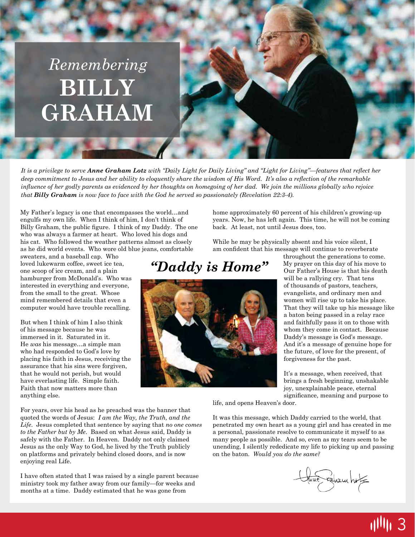# **BILLY GRAHAM** *Remembering*

*It is a privilege to serve Anne Graham Lotz with "Daily Light for Daily Living" and "Light for Living"—features that reflect her deep commitment to Jesus and her ability to eloquently share the wisdom of His Word. It's also a reflection of the remarkable influence of her godly parents as evidenced by her thoughts on homegoing of her dad. We join the millions globally who rejoice that Billy Graham is now face to face with the God he served so passionately (Revelation 22:3-4).*

My Father's legacy is one that encompasses the world…and engulfs my own life. When I think of him, I don't think of Billy Graham, the public figure. I think of my Daddy. The one who was always a farmer at heart. Who loved his dogs and his cat. Who followed the weather patterns almost as closely as he did world events. Who wore old blue jeans, comfortable

sweaters, and a baseball cap. Who loved lukewarm coffee, sweet ice tea, one scoop of ice cream, and a plain hamburger from McDonald's. Who was interested in everything and everyone, from the small to the great. Whose mind remembered details that even a computer would have trouble recalling.

But when I think of him I also think of his message because he was immersed in it. Saturated in it. He *was* his message…a simple man who had responded to God's love by placing his faith in Jesus, receiving the assurance that his sins were forgiven, that he would not perish, but would have everlasting life. Simple faith. Faith that now matters more than anything else.

For years, over his head as he preached was the banner that quoted the words of Jesus: *I am the Way, the Truth, and the Life*. Jesus completed that sentence by saying that *no one comes to the Father but by Me*. Based on what Jesus said, Daddy is safely with the Father. In Heaven. Daddy not only claimed Jesus as the only Way to God, he lived by the Truth publicly on platforms and privately behind closed doors, and is now enjoying real Life.

I have often stated that I was raised by a single parent because ministry took my father away from our family—for weeks and months at a time. Daddy estimated that he was gone from

home approximately 60 percent of his children's growing-up years. Now, he has left again. This time, he will not be coming back. At least, not until Jesus does, too.

While he may be physically absent and his voice silent, I am confident that his message will continue to reverberate

#### *"Daddy is Home"*



throughout the generations to come. My prayer on this day of his move to Our Father's House is that his death will be a rallying cry. That tens of thousands of pastors, teachers, evangelists, and ordinary men and women will rise up to take his place. That they will take up his message like a baton being passed in a relay race and faithfully pass it on to those with whom they come in contact. Because Daddy's message is God's message. And it's a message of genuine hope for the future, of love for the present, of forgiveness for the past.

It's a message, when received, that brings a fresh beginning, unshakable joy, unexplainable peace, eternal significance, meaning and purpose to

life, and opens Heaven's door.

It was this message, which Daddy carried to the world, that penetrated my own heart as a young girl and has created in me a personal, passionate resolve to communicate it myself to as many people as possible. And so, even as my tears seem to be unending, I silently rededicate my life to picking up and passing on the baton. *Would you do the same?*

true ration hoff

3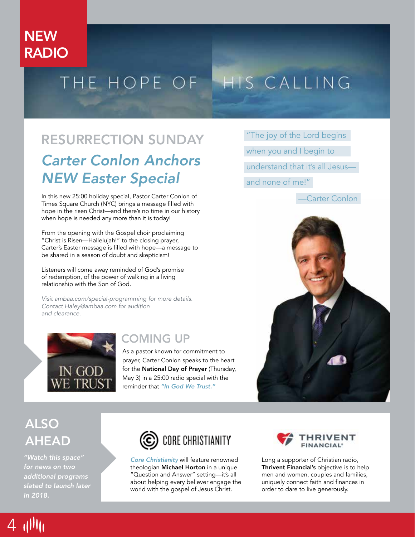## **NEW** RADIO

# THE HOPE OF HIS CALLING

# *Carter Conlon Anchors NEW Easter Special* RESURRECTION SUNDAY "The joy of the Lord begins

In this new 25:00 holiday special, Pastor Carter Conlon of Times Square Church (NYC) brings a message filled with hope in the risen Christ—and there's no time in our history when hope is needed any more than it is today!

From the opening with the Gospel choir proclaiming "Christ is Risen—Hallelujah!" to the closing prayer, Carter's Easter message is filled with hope—a message to be shared in a season of doubt and skepticism!

Listeners will come away reminded of God's promise of redemption, of the power of walking in a living relationship with the Son of God.

*Visit ambaa.com/special-programming for more details. Contact Haley@ambaa.com for audition and clearance.* 



#### COMING UP

As a pastor known for commitment to prayer, Carter Conlon speaks to the heart for the National Day of Prayer (Thursday, May 3) in a 25:00 radio special with the reminder that *"In God We Trust."* 

when you and I begin to understand that it's all Jesus and none of me!"



## ALSO AHEAD

*"Watch this space" for news on two additional programs slated to launch later in 2018.*



*Core Christianity* will feature renowned theologian Michael Horton in a unique "Question and Answer" setting—it's all about helping every believer engage the world with the gospel of Jesus Christ.



Long a supporter of Christian radio, Thrivent Financial's objective is to help men and women, couples and families, uniquely connect faith and finances in order to dare to live generously.

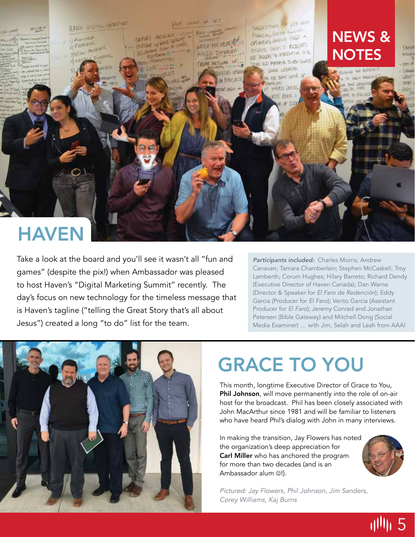

# **HAVEN**

Take a look at the board and you'll see it wasn't all "fun and games" (despite the pix!) when Ambassador was pleased to host Haven's "Digital Marketing Summit" recently. The day's focus on new technology for the timeless message that is Haven's tagline ("telling the Great Story that's all about Jesus") created a long "to do" list for the team.

*Participants included:* Charles Morris; Andrew Canavan; Tamara Chamberlain; Stephen McCaskell; Troy Lamberth; Corum Hughes; Hilary Barreto; Richard Dendy (Executive Director of Haven Canada); Dan Warne (Director & Speaker for *El Faro de Redención*); Eddy Garcia (Producer for *El Faro*); Verito Garcia (Assistant Producer for *El Faro*); Jeremy Conrad and Jonathan Petersen (Bible Gateway) and Mitchell Dong (Social Media Examiner) … with Jim, Selah and Leah from AAA!



# GRACE TO YOU

This month, longtime Executive Director of Grace to You, Phil Johnson, will move permanently into the role of on-air host for the broadcast. Phil has been closely associated with John MacArthur since 1981 and will be familiar to listeners who have heard Phil's dialog with John in many interviews.

In making the transition, Jay Flowers has noted the organization's deep appreciation for Carl Miller who has anchored the program for more than two decades (and is an Ambassador alum (2!).



川川 5

*Pictured: Jay Flowers, Phil Johnson, Jim Sanders, Corey Williams, Kaj Burns*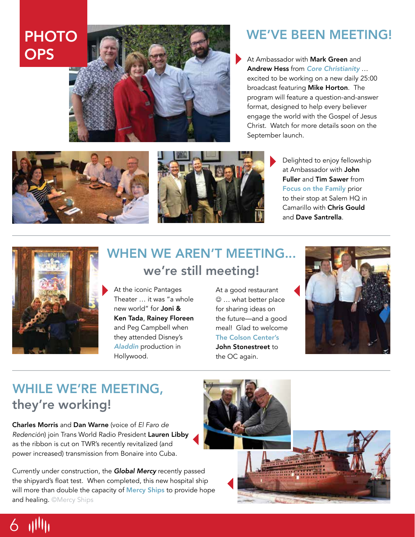# PHOTO



## WE'VE BEEN MEETING!

Andrew Hess from *Core Christianity* … excited to be working on a new daily 25:00 broadcast featuring Mike Horton. The program will feature a question-and-answer format, designed to help every believer engage the world with the Gospel of Jesus Christ. Watch for more details soon on the September launch.





Delighted to enjoy fellowship at Ambassador with John Fuller and Tim Sawer from Focus on the Family prior to their stop at Salem HQ in Camarillo with Chris Gould and Dave Santrella.



6 111111

### WHEN WE AREN'T MEETING... we're still meeting!

At the iconic Pantages Theater … it was "a whole new world" for Joni & Ken Tada, Rainey Floreen and Peg Campbell when they attended Disney's *Aladdin* production in Hollywood.

#### At a good restaurant  $\odot$  ... what better place for sharing ideas on the future—and a good meal! Glad to welcome The Colson Center's John Stonestreet to the OC again.



## WHILE WE'RE MEETING, they're working!

Charles Morris and Dan Warne (voice of *El Faro de Redención*) join Trans World Radio President Lauren Libby as the ribbon is cut on TWR's recently revitalized (and power increased) transmission from Bonaire into Cuba.

Currently under construction, the *Global Mercy* recently passed the shipyard's float test. When completed, this new hospital ship will more than double the capacity of Mercy Ships to provide hope and healing. ©Mercy Ships

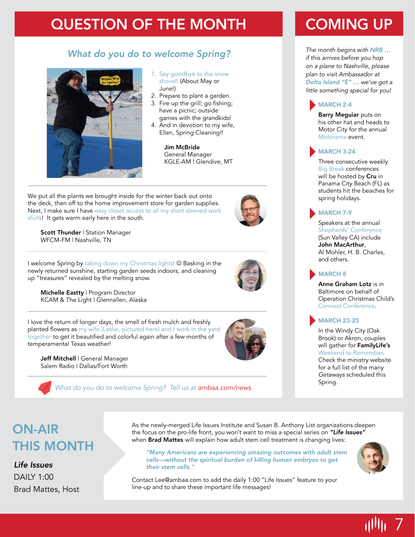## QUESTION OF THE MONTH

#### *What do you do to welcome Spring?*



- 1. Say goodbye to the snow shovel! (About May or June!)
- 2. Prepare to plant a garden.
- 3. Fire up the grill; go fishing; have a picnic; outside games with the grandkids!
- 4. And in devotion to my wife, Ellen, Spring Cleaning!!

Jim McBride General Manager KGLE-AM | Glendive, MT

We put all the plants we brought inside for the winter back out onto the deck, then off to the home improvement store for garden supplies. Next, I make sure I have easy closet access to all my short sleeved work shirts! It gets warm early here in the south.

Scott Thunder | Station Manager WFCM-FM | Nashville, TN





I welcome Spring by taking down my Christmas lights! @ Basking in the newly returned sunshine, starting garden seeds indoors, and cleaning up "treasures" revealed by the melting snow.

Michelle Eastty | Program Director KCAM & The Light | Glennallen, Alaska

I love the return of longer days, the smell of fresh mulch and freshly planted flowers as my wife (Leslie, pictured here) and I work in the yard together to get it beautified and colorful again after a few months of temperamental Texas weather!

Jeff Mitchell | General Manager Salem Radio | Dallas/Fort Worth



*What do you do to welcome Spring? Tell us at ambaa.com/news.*

# COMING UP

*The month begins with NRB* … *if this arrives before you hop on a plane to Nashville, please plan to visit Ambassador at Delta Island "E" … we've got a little something special for you!*

#### MARCH 2-4

Barry Meguiar puts on his other hat and heads to Motor City for the annual Motorama event.

#### MARCH 3-24

Three consecutive weekly Big Break conferences will be hosted by Cru in Panama City Beach (FL) as students hit the beaches for spring holidays.

#### MARCH 7-9

Speakers at the annual Shepherds' Conference (Sun Valley CA) include John MacArthur, Al Mohler, H. B. Charles, and others.

#### MARCH 8

Anne Graham Lotz is in Baltimore on behalf of Operation Christmas Child's Connect Conference.

#### MARCH 23-25

In the Windy City (Oak Brook) or Akron, couples will gather for FamilyLife's Weekend to Remember. Check the ministry website for a full list of the many *Getaways* scheduled this Spring.

## ON-AIR THIS MONTH

#### *Life Issues*

DAILY 1:00 Brad Mattes, Host

As the newly-merged Life Issues Institute and Susan B. Anthony List organizations deepen the focus on the pro-life front, you won't want to miss a special series on *"Life Issues"* when Brad Mattes will explain how adult stem cell treatment is changing lives:

*"Many Americans are experiencing amazing outcomes with adult stem cells—without the spiritual burden of killing human embryos to get their stem cells."*



7

Contact Lee@ambaa.com to add the daily 1:00 "Life Issues" feature to your line-up and to share these important life messages!